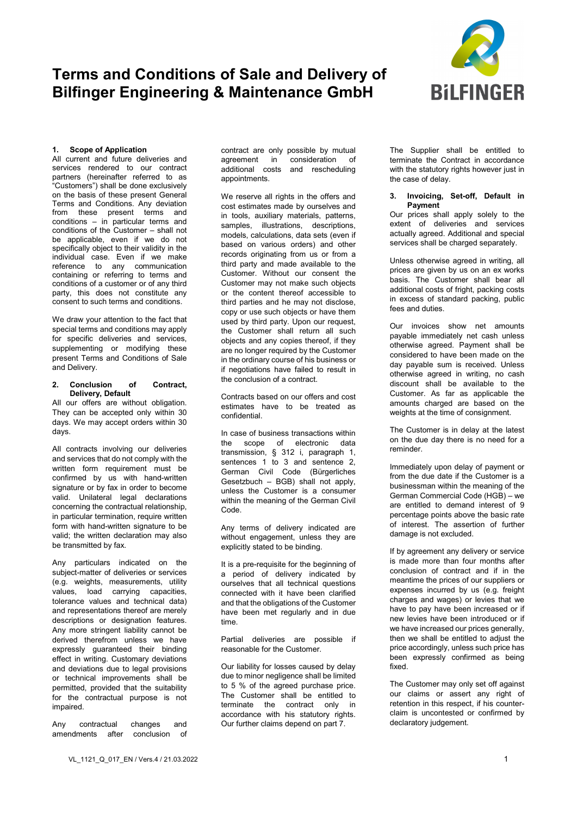

### **1. Scope of Application**

All current and future deliveries and services rendered to our contract partners (hereinafter referred to as "Customers") shall be done exclusively on the basis of these present General Terms and Conditions. Any deviation from these present terms and conditions – in particular terms and conditions of the Customer – shall not be applicable, even if we do not specifically object to their validity in the individual case. Even if we make reference to any communication containing or referring to terms and conditions of a customer or of any third party, this does not constitute any consent to such terms and conditions.

We draw your attention to the fact that special terms and conditions may apply for specific deliveries and services, supplementing or modifying these present Terms and Conditions of Sale and Delivery.

#### **2. Conclusion of Contract, Delivery, Default**

All our offers are without obligation. They can be accepted only within 30 days. We may accept orders within 30 days.

All contracts involving our deliveries and services that do not comply with the written form requirement must be confirmed by us with hand-written signature or by fax in order to become valid. Unilateral legal declarations concerning the contractual relationship, in particular termination, require written form with hand-written signature to be valid; the written declaration may also be transmitted by fax.

Any particulars indicated on the subject-matter of deliveries or services (e.g. weights, measurements, utility values, load carrying capacities, tolerance values and technical data) and representations thereof are merely descriptions or designation features. Any more stringent liability cannot be derived therefrom unless we have expressly guaranteed their binding effect in writing. Customary deviations and deviations due to legal provisions or technical improvements shall be permitted, provided that the suitability for the contractual purpose is not impaired.

Any contractual changes and amendments after conclusion of contract are only possible by mutual agreement in consideration of additional costs and rescheduling appointments.

We reserve all rights in the offers and cost estimates made by ourselves and in tools, auxiliary materials, patterns, samples, illustrations, descriptions, models, calculations, data sets (even if based on various orders) and other records originating from us or from a third party and made available to the Customer. Without our consent the Customer may not make such objects or the content thereof accessible to third parties and he may not disclose, copy or use such objects or have them used by third party. Upon our request, the Customer shall return all such objects and any copies thereof, if they are no longer required by the Customer in the ordinary course of his business or if negotiations have failed to result in the conclusion of a contract.

Contracts based on our offers and cost estimates have to be treated as confidential.

In case of business transactions within the scope of electronic data transmission, § 312 i, paragraph 1, sentences 1 to 3 and sentence 2, German Civil Code (Bürgerliches Gesetzbuch – BGB) shall not apply, unless the Customer is a consumer within the meaning of the German Civil Code.

Any terms of delivery indicated are without engagement, unless they are explicitly stated to be binding.

It is a pre-requisite for the beginning of a period of delivery indicated by ourselves that all technical questions connected with it have been clarified and that the obligations of the Customer have been met regularly and in due time.

Partial deliveries are possible if reasonable for the Customer.

Our liability for losses caused by delay due to minor negligence shall be limited to 5 % of the agreed purchase price. The Customer shall be entitled to terminate the contract only in accordance with his statutory rights. Our further claims depend on part 7.

The Supplier shall be entitled to terminate the Contract in accordance with the statutory rights however just in the case of delay.

#### **3. Invoicing, Set-off, Default in Payment**

Our prices shall apply solely to the extent of deliveries and services actually agreed. Additional and special services shall be charged separately.

Unless otherwise agreed in writing, all prices are given by us on an ex works basis. The Customer shall bear all additional costs of fright, packing costs in excess of standard packing, public fees and duties.

Our invoices show net amounts payable immediately net cash unless otherwise agreed. Payment shall be considered to have been made on the day payable sum is received. Unless otherwise agreed in writing, no cash discount shall be available to the Customer. As far as applicable the amounts charged are based on the weights at the time of consignment.

The Customer is in delay at the latest on the due day there is no need for a reminder.

Immediately upon delay of payment or from the due date if the Customer is a businessman within the meaning of the German Commercial Code (HGB) – we are entitled to demand interest of 9 percentage points above the basic rate of interest. The assertion of further damage is not excluded.

If by agreement any delivery or service is made more than four months after conclusion of contract and if in the meantime the prices of our suppliers or expenses incurred by us (e.g. freight charges and wages) or levies that we have to pay have been increased or if new levies have been introduced or if we have increased our prices generally, then we shall be entitled to adjust the price accordingly, unless such price has been expressly confirmed as being fixed.

The Customer may only set off against our claims or assert any right of retention in this respect, if his counterclaim is uncontested or confirmed by declaratory judgement.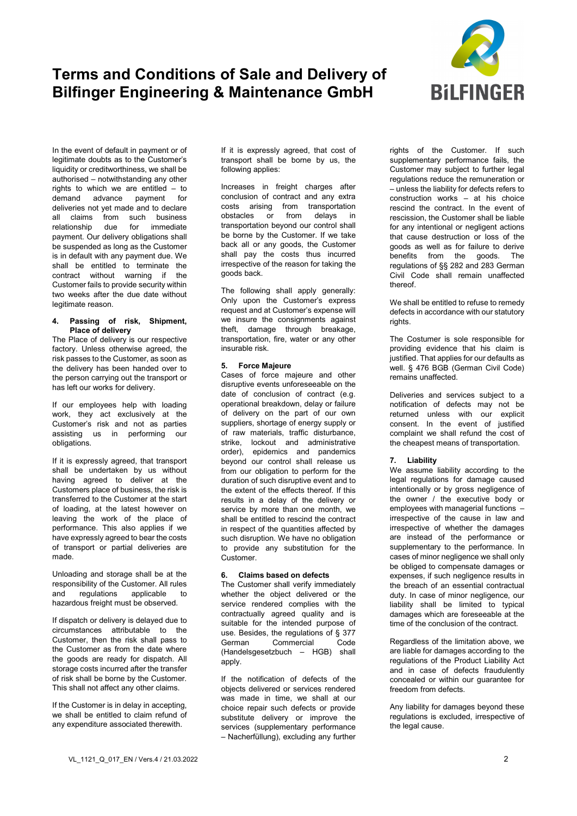

In the event of default in payment or of legitimate doubts as to the Customer's liquidity or creditworthiness, we shall be authorised – notwithstanding any other rights to which we are entitled  $-$  to demand advance payment for advance payment for deliveries not yet made and to declare all claims from such business relationship due for immediate payment. Our delivery obligations shall be suspended as long as the Customer is in default with any payment due. We shall be entitled to terminate the contract without warning if the Customer fails to provide security within two weeks after the due date without legitimate reason.

#### **4. Passing of risk, Shipment, Place of delivery**

The Place of delivery is our respective factory. Unless otherwise agreed, the risk passes to the Customer, as soon as the delivery has been handed over to the person carrying out the transport or has left our works for delivery.

If our employees help with loading work, they act exclusively at the Customer's risk and not as parties assisting us in performing our obligations.

If it is expressly agreed, that transport shall be undertaken by us without having agreed to deliver at the Customers place of business, the risk is transferred to the Customer at the start of loading, at the latest however on leaving the work of the place of performance. This also applies if we have expressly agreed to bear the costs of transport or partial deliveries are made.

Unloading and storage shall be at the responsibility of the Customer. All rules<br>and regulations applicable to and regulations applicable to hazardous freight must be observed.

If dispatch or delivery is delayed due to circumstances attributable to the Customer, then the risk shall pass to the Customer as from the date where the goods are ready for dispatch. All storage costs incurred after the transfer of risk shall be borne by the Customer. This shall not affect any other claims.

If the Customer is in delay in accepting, we shall be entitled to claim refund of any expenditure associated therewith.

If it is expressly agreed, that cost of transport shall be borne by us, the following applies:

Increases in freight charges after conclusion of contract and any extra costs arising from transportation<br>obstacles or from delays in obstacles or from transportation beyond our control shall be borne by the Customer. If we take back all or any goods, the Customer shall pay the costs thus incurred irrespective of the reason for taking the goods back.

The following shall apply generally: Only upon the Customer's express request and at Customer's expense will we insure the consignments against theft, damage through breakage, transportation, fire, water or any other insurable risk.

## **5. Force Majeure**

Cases of force majeure and other disruptive events unforeseeable on the date of conclusion of contract (e.g. operational breakdown, delay or failure of delivery on the part of our own suppliers, shortage of energy supply or of raw materials, traffic disturbance, strike, lockout and administrative order), epidemics and pandemics beyond our control shall release us from our obligation to perform for the duration of such disruptive event and to the extent of the effects thereof. If this results in a delay of the delivery or service by more than one month, we shall be entitled to rescind the contract in respect of the quantities affected by such disruption. We have no obligation to provide any substitution for the Customer.

# **6. Claims based on defects**

The Customer shall verify immediately whether the object delivered or the service rendered complies with the contractually agreed quality and is suitable for the intended purpose of use. Besides, the regulations of § 377 Commercial (Handelsgesetzbuch – HGB) shall apply

If the notification of defects of the objects delivered or services rendered was made in time, we shall at our choice repair such defects or provide substitute delivery or improve the services (supplementary performance – Nacherfüllung), excluding any further

rights of the Customer. If such supplementary performance fails, the Customer may subject to further legal regulations reduce the remuneration or – unless the liability for defects refers to construction works – at his choice rescind the contract. In the event of rescission, the Customer shall be liable for any intentional or negligent actions that cause destruction or loss of the goods as well as for failure to derive benefits from the goods. The regulations of §§ 282 and 283 German Civil Code shall remain unaffected thereof.

We shall be entitled to refuse to remedy defects in accordance with our statutory rights.

The Costumer is sole responsible for providing evidence that his claim is justified. That applies for our defaults as well. § 476 BGB (German Civil Code) remains unaffected.

Deliveries and services subject to a notification of defects may not be returned unless with our explicit consent. In the event of justified complaint we shall refund the cost of the cheapest means of transportation.

# **7. Liability**

We assume liability according to the legal regulations for damage caused intentionally or by gross negligence of the owner / the executive body or employees with managerial functions – irrespective of the cause in law and irrespective of whether the damages are instead of the performance or supplementary to the performance. In cases of minor negligence we shall only be obliged to compensate damages or expenses, if such negligence results in the breach of an essential contractual duty. In case of minor negligence, our liability shall be limited to typical damages which are foreseeable at the time of the conclusion of the contract.

Regardless of the limitation above, we are liable for damages according to the regulations of the Product Liability Act and in case of defects fraudulently concealed or within our guarantee for freedom from defects.

Any liability for damages beyond these regulations is excluded, irrespective of the legal cause.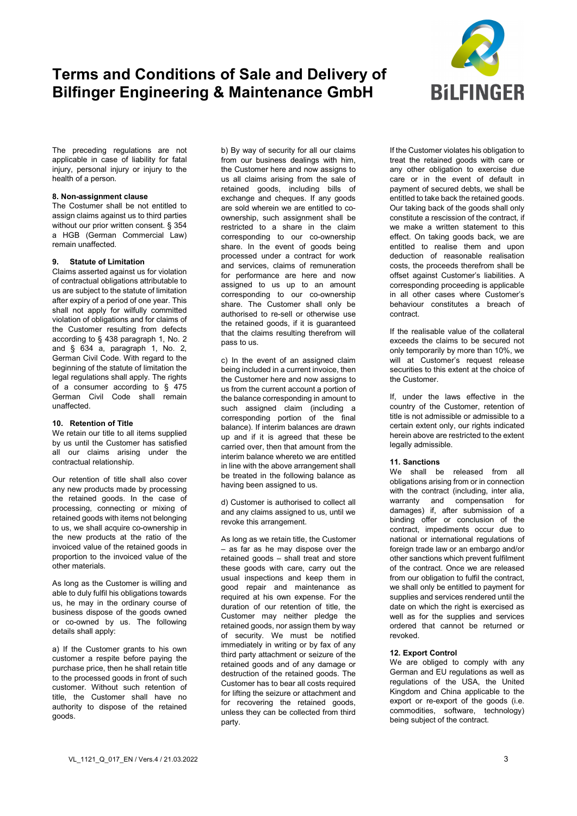

The preceding regulations are not applicable in case of liability for fatal injury, personal injury or injury to the health of a person.

## **8. Non-assignment clause**

The Costumer shall be not entitled to assign claims against us to third parties without our prior written consent. § 354 a HGB (German Commercial Law) remain unaffected.

### **9. Statute of Limitation**

Claims asserted against us for violation of contractual obligations attributable to us are subject to the statute of limitation after expiry of a period of one year. This shall not apply for wilfully committed violation of obligations and for claims of the Customer resulting from defects according to § 438 paragraph 1, No. 2 and  $\frac{2}{3}$  634 a, paragraph 1, No. 2. German Civil Code. With regard to the beginning of the statute of limitation the legal regulations shall apply. The rights of a consumer according to § 475 German Civil Code shall remain unaffected.

#### **10. Retention of Title**

We retain our title to all items supplied by us until the Customer has satisfied all our claims arising under the contractual relationship.

Our retention of title shall also cover any new products made by processing the retained goods. In the case of processing, connecting or mixing of retained goods with items not belonging to us, we shall acquire co-ownership in the new products at the ratio of the invoiced value of the retained goods in proportion to the invoiced value of the other materials.

As long as the Customer is willing and able to duly fulfil his obligations towards us, he may in the ordinary course of business dispose of the goods owned or co-owned by us. The following details shall apply:

a) If the Customer grants to his own customer a respite before paying the purchase price, then he shall retain title to the processed goods in front of such customer. Without such retention of title, the Customer shall have no authority to dispose of the retained goods.

b) By way of security for all our claims from our business dealings with him, the Customer here and now assigns to us all claims arising from the sale of retained goods, including bills of exchange and cheques. If any goods are sold wherein we are entitled to coownership, such assignment shall be restricted to a share in the claim corresponding to our co-ownership share. In the event of goods being processed under a contract for work and services, claims of remuneration for performance are here and now assigned to us up to an amount corresponding to our co-ownership share. The Customer shall only be authorised to re-sell or otherwise use the retained goods, if it is guaranteed that the claims resulting therefrom will pass to us.

c) In the event of an assigned claim being included in a current invoice, then the Customer here and now assigns to us from the current account a portion of the balance corresponding in amount to such assigned claim (including a corresponding portion of the final balance). If interim balances are drawn up and if it is agreed that these be carried over, then that amount from the interim balance whereto we are entitled in line with the above arrangement shall be treated in the following balance as having been assigned to us.

d) Customer is authorised to collect all and any claims assigned to us, until we revoke this arrangement.

As long as we retain title, the Customer – as far as he may dispose over the retained goods – shall treat and store these goods with care, carry out the usual inspections and keep them in good repair and maintenance as required at his own expense. For the duration of our retention of title, the Customer may neither pledge the retained goods, nor assign them by way of security. We must be notified immediately in writing or by fax of any third party attachment or seizure of the retained goods and of any damage or destruction of the retained goods. The Customer has to bear all costs required for lifting the seizure or attachment and for recovering the retained goods, unless they can be collected from third party.

If the Customer violates his obligation to treat the retained goods with care or any other obligation to exercise due care or in the event of default in payment of secured debts, we shall be entitled to take back the retained goods. Our taking back of the goods shall only constitute a rescission of the contract, if we make a written statement to this effect. On taking goods back, we are entitled to realise them and upon deduction of reasonable realisation costs, the proceeds therefrom shall be offset against Customer's liabilities. A corresponding proceeding is applicable in all other cases where Customer's behaviour constitutes a breach of contract.

If the realisable value of the collateral exceeds the claims to be secured not only temporarily by more than 10%, we will at Customer's request release securities to this extent at the choice of the Customer.

If, under the laws effective in the country of the Customer, retention of title is not admissible or admissible to a certain extent only, our rights indicated herein above are restricted to the extent legally admissible.

### **11. Sanctions**

We shall be released from all obligations arising from or in connection with the contract (including, inter alia, warranty and compensation for damages) if, after submission of a binding offer or conclusion of the contract, impediments occur due to national or international regulations of foreign trade law or an embargo and/or other sanctions which prevent fulfilment of the contract. Once we are released from our obligation to fulfil the contract, we shall only be entitled to payment for supplies and services rendered until the date on which the right is exercised as well as for the supplies and services ordered that cannot be returned or revoked.

### **12. Export Control**

We are obliged to comply with any German and EU regulations as well as regulations of the USA, the United Kingdom and China applicable to the export or re-export of the goods (i.e. commodities, software, technology) being subject of the contract.